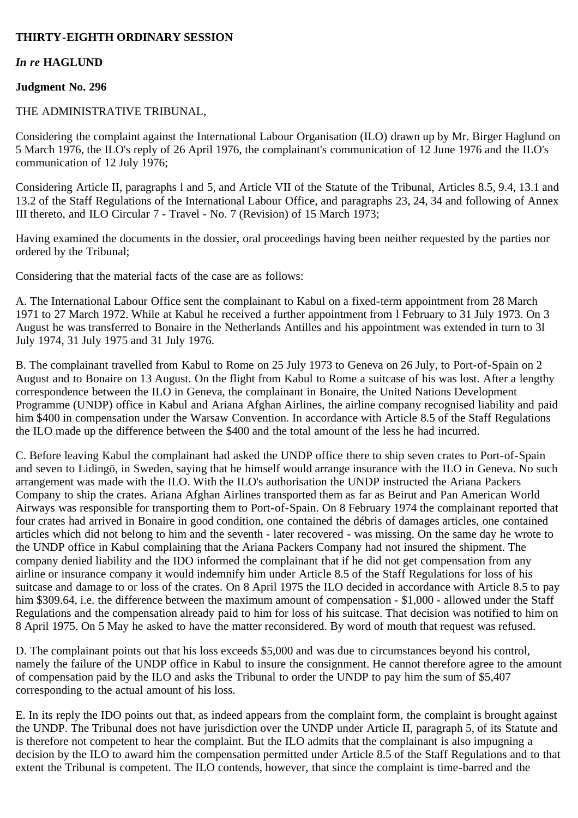# **THIRTY-EIGHTH ORDINARY SESSION**

### *In re* **HAGLUND**

### **Judgment No. 296**

### THE ADMINISTRATIVE TRIBUNAL,

Considering the complaint against the International Labour Organisation (ILO) drawn up by Mr. Birger Haglund on 5 March 1976, the ILO's reply of 26 April 1976, the complainant's communication of 12 June 1976 and the ILO's communication of 12 July 1976;

Considering Article II, paragraphs l and 5, and Article VII of the Statute of the Tribunal, Articles 8.5, 9.4, 13.1 and 13.2 of the Staff Regulations of the International Labour Office, and paragraphs 23, 24, 34 and following of Annex III thereto, and ILO Circular 7 - Travel - No. 7 (Revision) of 15 March 1973;

Having examined the documents in the dossier, oral proceedings having been neither requested by the parties nor ordered by the Tribunal;

Considering that the material facts of the case are as follows:

A. The International Labour Office sent the complainant to Kabul on a fixed-term appointment from 28 March 1971 to 27 March 1972. While at Kabul he received a further appointment from l February to 31 July 1973. On 3 August he was transferred to Bonaire in the Netherlands Antilles and his appointment was extended in turn to 3l July 1974, 31 July 1975 and 31 July 1976.

B. The complainant travelled from Kabul to Rome on 25 July 1973 to Geneva on 26 July, to Port-of-Spain on 2 August and to Bonaire on 13 August. On the flight from Kabul to Rome a suitcase of his was lost. After a lengthy correspondence between the ILO in Geneva, the complainant in Bonaire, the United Nations Development Programme (UNDP) office in Kabul and Ariana Afghan Airlines, the airline company recognised liability and paid him \$400 in compensation under the Warsaw Convention. In accordance with Article 8.5 of the Staff Regulations the ILO made up the difference between the \$400 and the total amount of the less he had incurred.

C. Before leaving Kabul the complainant had asked the UNDP office there to ship seven crates to Port-of-Spain and seven to Lidingö, in Sweden, saying that he himself would arrange insurance with the ILO in Geneva. No such arrangement was made with the ILO. With the ILO's authorisation the UNDP instructed the Ariana Packers Company to ship the crates. Ariana Afghan Airlines transported them as far as Beirut and Pan American World Airways was responsible for transporting them to Port-of-Spain. On 8 February 1974 the complainant reported that four crates had arrived in Bonaire in good condition, one contained the débris of damages articles, one contained articles which did not belong to him and the seventh - later recovered - was missing. On the same day he wrote to the UNDP office in Kabul complaining that the Ariana Packers Company had not insured the shipment. The company denied liability and the IDO informed the complainant that if he did not get compensation from any airline or insurance company it would indemnify him under Article 8.5 of the Staff Regulations for loss of his suitcase and damage to or loss of the crates. On 8 April 1975 the ILO decided in accordance with Article 8.5 to pay him \$309.64, i.e. the difference between the maximum amount of compensation - \$1,000 - allowed under the Staff Regulations and the compensation already paid to him for loss of his suitcase. That decision was notified to him on 8 April 1975. On 5 May he asked to have the matter reconsidered. By word of mouth that request was refused.

D. The complainant points out that his loss exceeds \$5,000 and was due to circumstances beyond his control, namely the failure of the UNDP office in Kabul to insure the consignment. He cannot therefore agree to the amount of compensation paid by the ILO and asks the Tribunal to order the UNDP to pay him the sum of \$5,407 corresponding to the actual amount of his loss.

E. In its reply the IDO points out that, as indeed appears from the complaint form, the complaint is brought against the UNDP. The Tribunal does not have jurisdiction over the UNDP under Article II, paragraph 5, of its Statute and is therefore not competent to hear the complaint. But the ILO admits that the complainant is also impugning a decision by the ILO to award him the compensation permitted under Article 8.5 of the Staff Regulations and to that extent the Tribunal is competent. The ILO contends, however, that since the complaint is time-barred and the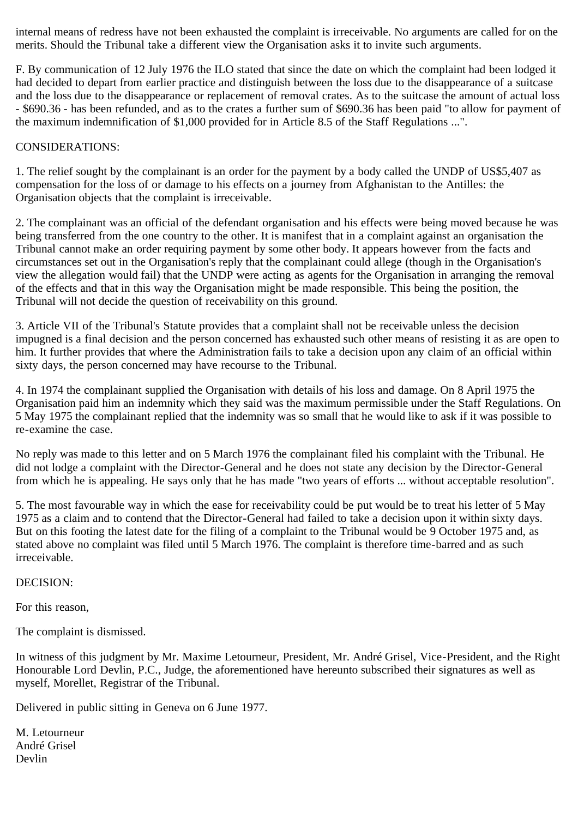internal means of redress have not been exhausted the complaint is irreceivable. No arguments are called for on the merits. Should the Tribunal take a different view the Organisation asks it to invite such arguments.

F. By communication of 12 July 1976 the ILO stated that since the date on which the complaint had been lodged it had decided to depart from earlier practice and distinguish between the loss due to the disappearance of a suitcase and the loss due to the disappearance or replacement of removal crates. As to the suitcase the amount of actual loss - \$690.36 - has been refunded, and as to the crates a further sum of \$690.36 has been paid "to allow for payment of the maximum indemnification of \$1,000 provided for in Article 8.5 of the Staff Regulations ...".

# CONSIDERATIONS:

1. The relief sought by the complainant is an order for the payment by a body called the UNDP of US\$5,407 as compensation for the loss of or damage to his effects on a journey from Afghanistan to the Antilles: the Organisation objects that the complaint is irreceivable.

2. The complainant was an official of the defendant organisation and his effects were being moved because he was being transferred from the one country to the other. It is manifest that in a complaint against an organisation the Tribunal cannot make an order requiring payment by some other body. It appears however from the facts and circumstances set out in the Organisation's reply that the complainant could allege (though in the Organisation's view the allegation would fail) that the UNDP were acting as agents for the Organisation in arranging the removal of the effects and that in this way the Organisation might be made responsible. This being the position, the Tribunal will not decide the question of receivability on this ground.

3. Article VII of the Tribunal's Statute provides that a complaint shall not be receivable unless the decision impugned is a final decision and the person concerned has exhausted such other means of resisting it as are open to him. It further provides that where the Administration fails to take a decision upon any claim of an official within sixty days, the person concerned may have recourse to the Tribunal.

4. In 1974 the complainant supplied the Organisation with details of his loss and damage. On 8 April 1975 the Organisation paid him an indemnity which they said was the maximum permissible under the Staff Regulations. On 5 May 1975 the complainant replied that the indemnity was so small that he would like to ask if it was possible to re-examine the case.

No reply was made to this letter and on 5 March 1976 the complainant filed his complaint with the Tribunal. He did not lodge a complaint with the Director-General and he does not state any decision by the Director-General from which he is appealing. He says only that he has made "two years of efforts ... without acceptable resolution".

5. The most favourable way in which the ease for receivability could be put would be to treat his letter of 5 May 1975 as a claim and to contend that the Director-General had failed to take a decision upon it within sixty days. But on this footing the latest date for the filing of a complaint to the Tribunal would be 9 October 1975 and, as stated above no complaint was filed until 5 March 1976. The complaint is therefore time-barred and as such irreceivable.

## DECISION:

For this reason,

The complaint is dismissed.

In witness of this judgment by Mr. Maxime Letourneur, President, Mr. André Grisel, Vice-President, and the Right Honourable Lord Devlin, P.C., Judge, the aforementioned have hereunto subscribed their signatures as well as myself, Morellet, Registrar of the Tribunal.

Delivered in public sitting in Geneva on 6 June 1977.

M. Letourneur André Grisel Devlin